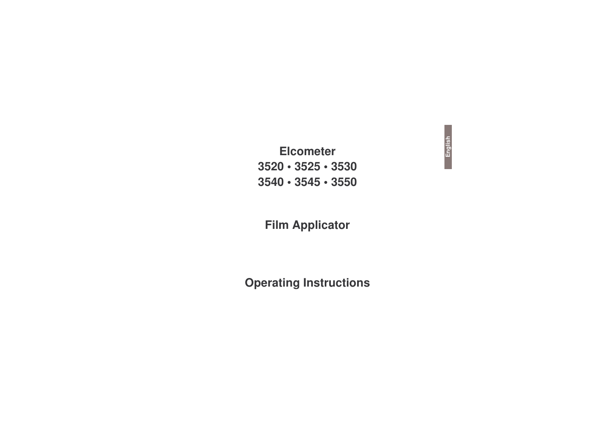# **Elcomet er3520 • 3 525 • 3 5303540 • 3 545 • 3 550**

# **Film Applicator**

# **Operating Instructions**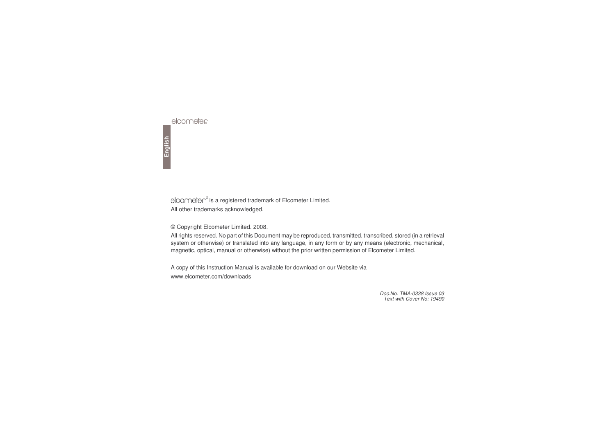is a registered trademark of Elcometer Limited. All other trademarks acknowledged.

© Copyright Elcometer Limited. 2008.

All rights reserved. No part of this Document may be reproduced, transmitted, transcribed, stored (in <sup>a</sup> retrieval system or otherwise) or translated into any language, in any form or by any means (electronic, mechanical, magnetic, optical, manual or otherwise) without the prior written permission of Elcometer Limited.

A copy of this Instruction Manual is available for download on our Website via www.elcometer.com/downloads

> *Doc.No. TMA-0338 Issue 03 Text with Cover No: 19490*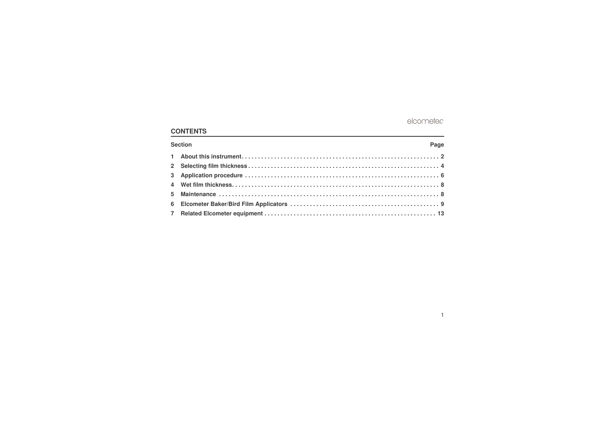### **CONTENTS**

| Section | Page |  |
|---------|------|--|
|         |      |  |
|         |      |  |
|         |      |  |
|         |      |  |
|         |      |  |
|         |      |  |
|         |      |  |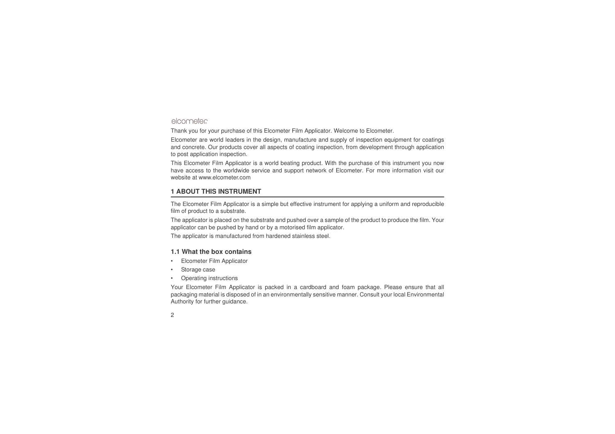Thank you for your purchase of this Elcometer Film Applicator. Welcome to Elcometer.

Elcometer are world leaders in the design, manufacture and supply of inspection equipment for coatings and concrete. Our products cover all aspects of coating inspection, from development through application to post application inspection.

This Elcometer Film Applicator is <sup>a</sup> world beating product. With the purchase of this instrument you now have access to the worldwide service and support network of Elcometer. For more information visit our website at [www.elcometer.com](http://www.elcometer.com)

#### <span id="page-3-0"></span>**1 ABOUT THIS INSTRUMENT**

The Elcometer Film Applicator is <sup>a</sup> simple but effective instrument for applying <sup>a</sup> uniform and reproducible film of product to <sup>a</sup> substrate.

The applicator is placed on the substrate and pushed over <sup>a</sup> sample of the product to produce the film. Your applicator can be pushed by hand or by <sup>a</sup> motorised film applicator.

The applicator is manufactured from hardened stainless steel.

#### **1.1 What the box contains**

- •• Elcometer Film Applicator
- •Storage case
- •Operating instructions

Your Elcometer Film Applicator is packed in <sup>a</sup> cardboard and foam package. Please ensure that all packaging material is disposed of in an environmentally sensitive manner. Consult your local Environmental Authority for further guidance.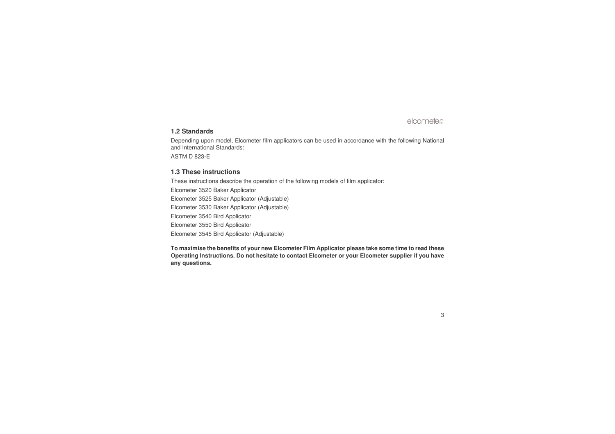#### **1.2 Standards**

Depending upon model, Elcometer film applicators can be used in accordance with the following National and International Standards:

ASTM D 823-E

#### **1.3 These instructions**

These instructions describe the operation of the following models of film applicator:

Elcometer 3520 Baker Applicator Elcometer 3525 Baker Applicator (Adjustable) Elcometer 3530 Baker Applicator (Adjustable) Elcometer 3540 Bird Applicator Elcometer 3550 Bird Applicator Elcometer 3545 Bird Applicator (Adjustable)

**To maximise the benefits of your new Elcometer Film Applicator please take some time to read these Operating Instructions. Do not hesitate to contact Elcometer or your Elcometer supplier if you have any questions.**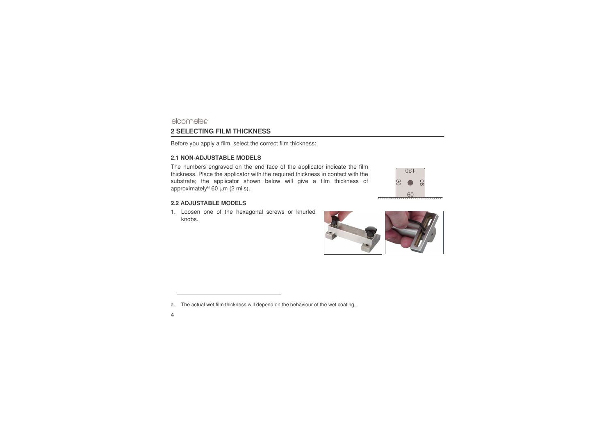Before you apply <sup>a</sup> film, select the correct film thickness:

#### **2.1 NON-ADJUSTABLE MODELS**

The numbers engraved on the end face of the applicator indicate the film thickness. Place the applicator with the required thickness in contact with the substrate; the applicator shown below will give <sup>a</sup> film thickness of approximately<sup>a</sup> 60  $\mu$ m (2 mils).

#### **2.2 ADJUSTABLE MODELS**

1. Loosen one of the hexagonal screws or knurled knobs.





<span id="page-5-0"></span>elcometer **2 SELECTING FILM THICKNESS**

a.The actual wet film thickness will depend on the behaviour of the wet coating.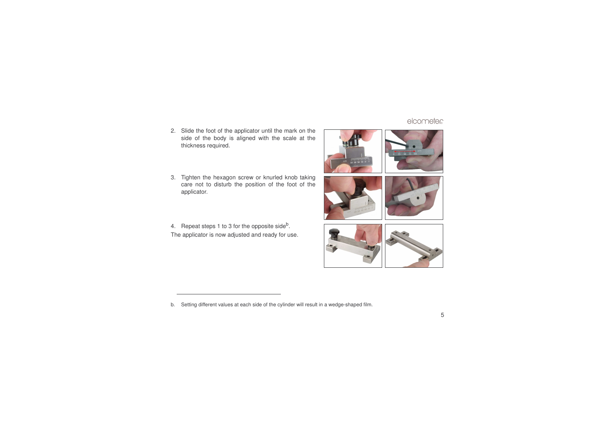2. Slide the foot of the applicator until the mark on the side of the body is aligned with the scale at the thickness required.

3. Tighten the hexagon screw or knurled knob taking care not to disturb the position of the foot of the applicator.

4.Repeat steps 1 to 3 for the opposite side<sup>b</sup>. The applicator is now adjusted and ready for use.



b.Setting different values at each side of the cylinder will result in <sup>a</sup> wedge-shaped film.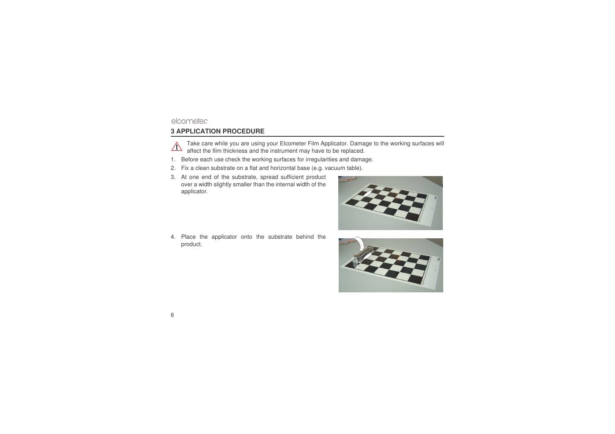# <span id="page-7-0"></span>**3 APPLICATION PROCEDURE**



Take care while you are using your Elcometer Film Applicator. Damage to the working surfaces will affect the film thickness and the instrument may have to be replaced.

- 1.. Before each use check the working surfaces for irregularities and damage.
- 2.Fix a clean substrate on <sup>a</sup> flat and horizontal base (e.g. vacuum table).
- 3. At one end of the substrate, spread sufficient product over a width slightly smaller than the internal width of the applicator.

4. Place the applicator onto the substrate behind the product.



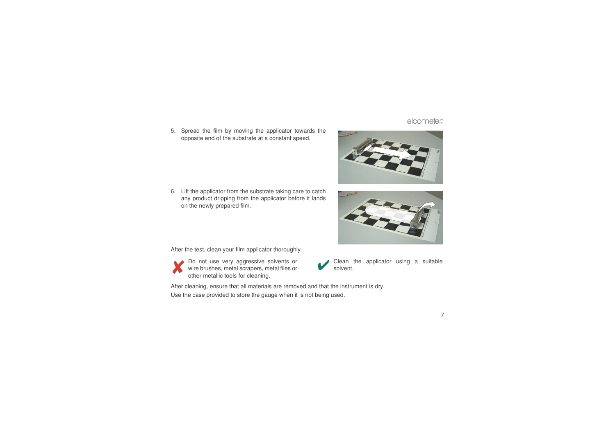5. Spread the film by moving the applicator towards the opposite end of the substrate at <sup>a</sup> constant speed.

6.. Lift the applicator from the substrate taking care to catch any product dripping from the applicator before it lands on the newly prepared film.

After the test, clean your film applicator thoroughly.

Do not use very aggressive solvents or wire brushes, metal scrapers, metal files or other metallic tools for cleaning.

After cleaning, ensure that all materials are removed and that the instrument is dry.

Use the case provided to store the gauge when it is not being used.





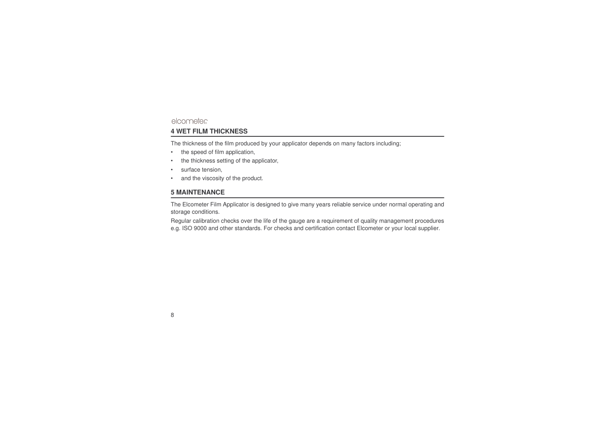## <span id="page-9-0"></span>elcometer **4 WET FILM THICKNESS**

The thickness of the film produced by your applicator depends on many factors including;

- •• the speed of film application,
- •• the thickness setting of the applicator,
- •• surface tension,
- •• and the viscosity of the product.

#### <span id="page-9-1"></span>**5 MAINTENANCE**

The Elcometer Film Applicator is designed to give many years reliable service under normal operating and storage conditions.

Regular calibration checks over the life of the gauge are <sup>a</sup> requirement of quality management procedures e.g. ISO 9000 and other standards. For checks and certification contact Elcometer or your local supplier.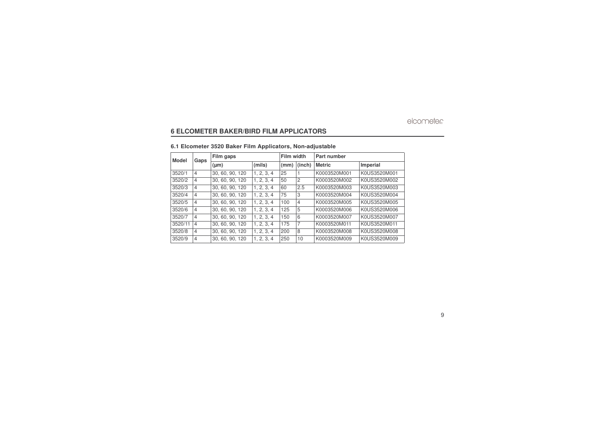#### <span id="page-10-0"></span>**6 ELCOMETER BAKER/BIRD FILM APPLICATORS**

#### **6.1 Elcometer 3520 Baker Film Applicators, Non-adjustable**

| Model   | Gaps           | Film gaps       |            | Film width |                | Part number   |              |
|---------|----------------|-----------------|------------|------------|----------------|---------------|--------------|
|         |                | $(\mu m)$       | (mils)     | (mm)       | (inch)         | <b>Metric</b> | Imperial     |
| 3520/1  | $\overline{4}$ | 30, 60, 90, 120 | 1, 2, 3, 4 | 25         |                | K0003520M001  | K0US3520M001 |
| 3520/2  | $\overline{4}$ | 30, 60, 90, 120 | 1, 2, 3, 4 | 50         | 2              | K0003520M002  | K0US3520M002 |
| 3520/3  | $\overline{4}$ | 30, 60, 90, 120 | 1, 2, 3, 4 | 60         | 2.5            | K0003520M003  | K0US3520M003 |
| 3520/4  | $\overline{4}$ | 30, 60, 90, 120 | 1, 2, 3, 4 | 75         | 3              | K0003520M004  | K0US3520M004 |
| 3520/5  | $\overline{4}$ | 30, 60, 90, 120 | 1, 2, 3, 4 | 100        | $\overline{4}$ | K0003520M005  | K0US3520M005 |
| 3520/6  | $\overline{4}$ | 30, 60, 90, 120 | 1.2.3.4    | 125        | 5              | K0003520M006  | K0US3520M006 |
| 3520/7  | $\overline{4}$ | 30, 60, 90, 120 | 1.2.3.4    | 150        | 6              | K0003520M007  | K0US3520M007 |
| 3520/11 | $\overline{4}$ | 30, 60, 90, 120 | 1, 2, 3, 4 | 175        | 7              | K0003520M011  | K0US3520M011 |
| 3520/8  | $\overline{4}$ | 30, 60, 90, 120 | 1.2.3.4    | 200        | 8              | K0003520M008  | K0US3520M008 |
| 3520/9  | $\overline{4}$ | 30, 60, 90, 120 | 1, 2, 3, 4 | 250        | 10             | K0003520M009  | K0US3520M009 |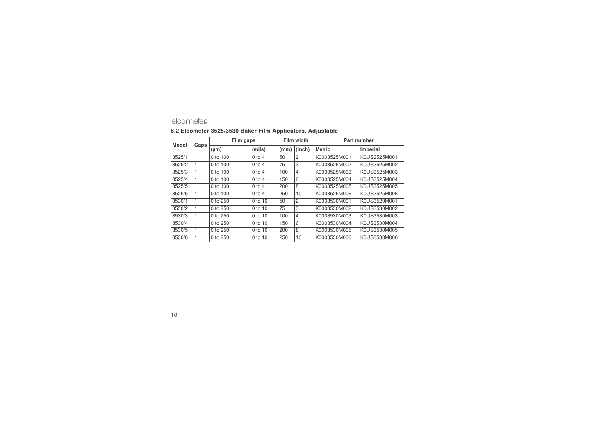#### **6.2 Elcometer 3525/3530 Baker Film Applicators, Adjustable**

| Model  | Gaps | Film gaps    |            | Film width |                | Part number   |              |
|--------|------|--------------|------------|------------|----------------|---------------|--------------|
|        |      | $(\mu m)$    | (mils)     | (mm)       | (inch)         | <b>Metric</b> | Imperial     |
| 3525/1 |      | $0$ to $100$ | $0$ to $4$ | 50         | 2              | K0003525M001  | K0US3525M001 |
| 3525/2 | 1    | 0 to 100     | $0$ to $4$ | 75         | 3              | K0003525M002  | K0US3525M002 |
| 3525/3 |      | $0$ to 100   | $0$ to $4$ | 100        | $\overline{4}$ | K0003525M003  | K0US3525M003 |
| 3525/4 |      | 0 to 100     | $0$ to $4$ | 150        | 6              | K0003525M004  | K0US3525M004 |
| 3525/5 |      | $0$ to 100   | $0$ to $4$ | 200        | 8              | K0003525M005  | K0US3525M005 |
| 3525/6 | 1    | $0$ to $100$ | $0$ to $4$ | 250        | 10             | K0003525M006  | K0US3525M006 |
| 3530/1 | 1    | $0$ to $250$ | 0 to 10    | 50         | $\overline{c}$ | K0003530M001  | K0US3520M001 |
| 3530/2 | 1    | 0 to $250$   | 0 to 10    | 75         | 3              | K0003530M002  | K0US3530M002 |
| 3530/3 |      | 0 to $250$   | $0$ to 10  | 100        | $\overline{4}$ | K0003530M003  | K0US3530M003 |
| 3530/4 |      | 0 to 250     | 0 to 10    | 150        | 6              | K0003530M004  | K0US3530M004 |
| 3530/5 |      | 0 to $250$   | 0 to 10    | 200        | 8              | K0003530M005  | K0US3530M005 |
| 3530/6 |      | 0 to 250     | 0 to 10    | 250        | 10             | K0003530M006  | K0US3530M006 |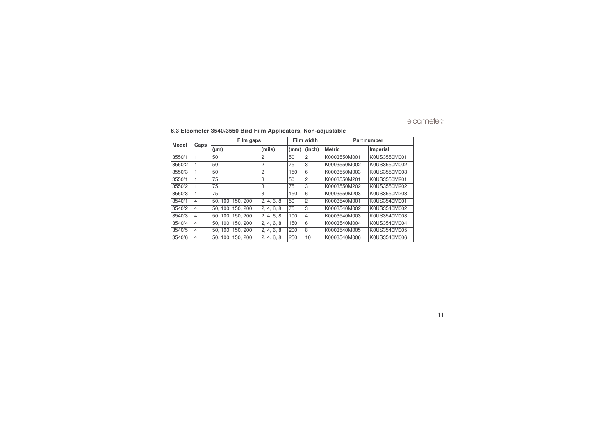| Model  | Gaps           | Film gaps         |            | Film width |                | Part number   |              |
|--------|----------------|-------------------|------------|------------|----------------|---------------|--------------|
|        |                | $(\mu m)$         | (mils)     | (mm)       | (inch)         | <b>Metric</b> | Imperial     |
| 3550/1 |                | 50                | 2          | 50         | $\overline{c}$ | K0003550M001  | K0US3550M001 |
| 3550/2 | 1              | 50                | 2          | 75         | 3              | K0003550M002  | K0US3550M002 |
| 3550/3 |                | 50                | 2          | 150        | 6              | K0003550M003  | K0US3550M003 |
| 3550/1 | 1              | 75                | 3          | 50         | $\overline{c}$ | K0003550M201  | K0US3550M201 |
| 3550/2 |                | 75                | 3          | 75         | 3              | K0003550M202  | K0US3550M202 |
| 3550/3 | $\mathbf{1}$   | 75                | 3          | 150        | 6              | K0003550M203  | K0US3550M203 |
| 3540/1 | $\overline{4}$ | 50, 100, 150, 200 | 2, 4, 6, 8 | 50         | $\overline{2}$ | K0003540M001  | K0US3540M001 |
| 3540/2 | $\overline{4}$ | 50.100.150.200    | 2, 4, 6, 8 | 75         | 3              | K0003540M002  | K0US3540M002 |
| 3540/3 | $\overline{4}$ | 50.100.150.200    | 2, 4, 6, 8 | 100        | $\overline{4}$ | K0003540M003  | K0US3540M003 |
| 3540/4 | $\overline{4}$ | 50.100.150.200    | 2, 4, 6, 8 | 150        | 6              | K0003540M004  | K0US3540M004 |
| 3540/5 | $\overline{4}$ | 50, 100, 150, 200 | 2, 4, 6, 8 | 200        | 8              | K0003540M005  | K0US3540M005 |
| 3540/6 | 4              | 50.100.150.200    | 2, 4, 6, 8 | 250        | 10             | K0003540M006  | K0US3540M006 |

#### **6.3 Elcometer 3540/3550 Bird Film Applicators, Non-adjustable**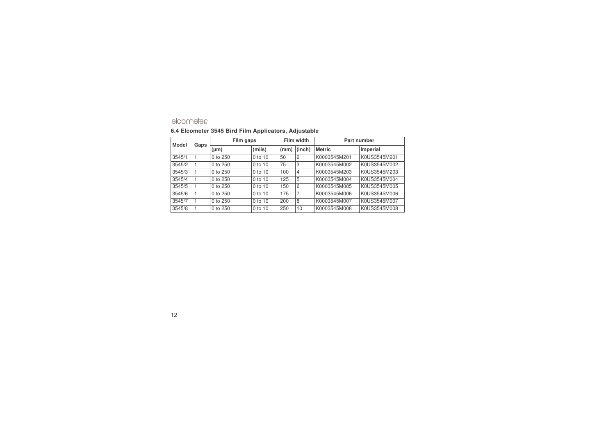#### **6.4 Elcometer 3545 Bird Film Applicators, Adjustable**

| <b>Model</b> | Gaps | Film gaps    |           | Film width |                | Part number   |              |
|--------------|------|--------------|-----------|------------|----------------|---------------|--------------|
|              |      | $(\mu m)$    | (mils)    | (mm)       | (inch)         | <b>Metric</b> | Imperial     |
| 3545/1       |      | $0$ to $250$ | $0$ to 10 | 50         | $\overline{c}$ | K0003545M201  | K0US3545M201 |
| 3545/2       |      | 0 to 250     | $0$ to 10 | 75         | 3              | K0003545M002  | K0US3545M002 |
| 3545/3       |      | $0$ to $250$ | $0$ to 10 | 100        | $\overline{4}$ | K0003545M203  | K0US3545M203 |
| 3545/4       |      | $0$ to $250$ | $0$ to 10 | 125        | 5              | K0003545M004  | K0US3545M004 |
| 3545/5       |      | 0 to 250     | 0 to 10   | 150        | 6              | K0003545M005  | K0US3545M005 |
| 3545/6       |      | 0 to 250     | 0 to 10   | 175        | 7              | K0003545M006  | K0US3545M006 |
| 3545/7       |      | 0 to 250     | 0 to 10   | 200        | 8              | K0003545M007  | K0US3545M007 |
| 3545/8       |      | 0 to 250     | 0 to 10   | 250        | 10             | K0003545M008  | K0US3545M008 |